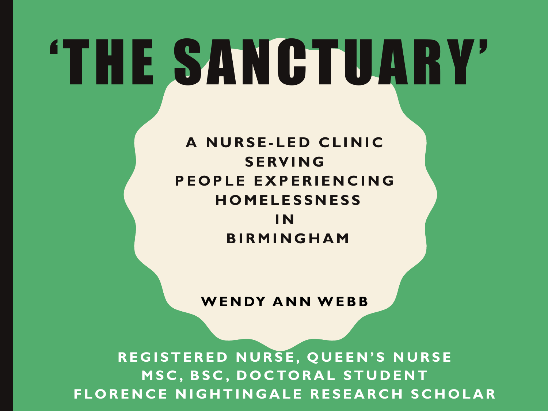# 'THE SANCTUARY'

**A N U R S E - L E D C L I N I C S E RV I N G PEOPLE EXPERIENCING H O M E L E S S N E S S I N B I R M I N G H A M**

**W E N DY A N N W E B B**

**REGISTERED NURSE, QUEEN'S NURSE M S C , B S C , D O C TO R A L S T U D E N T** FLORENCE NIGHTINGALE RESEARCH SCHOLAR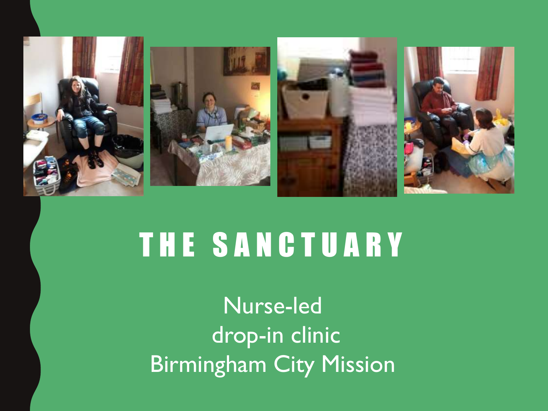

## T H E S A N C T U A R Y

Nurse-led drop-in clinic Birmingham City Mission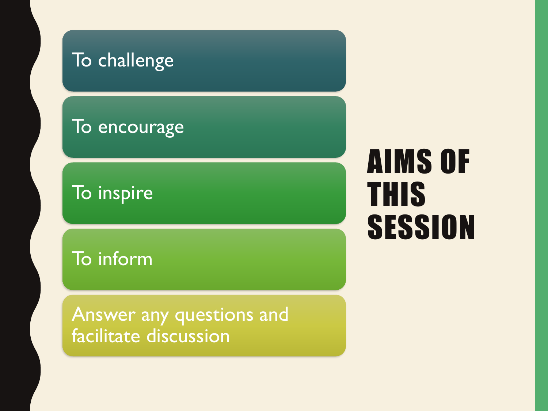#### To challenge

#### To encourage

#### To inspire

#### To inform

#### Answer any questions and facilitate discussion

## AIMS OF THIS **SESSION**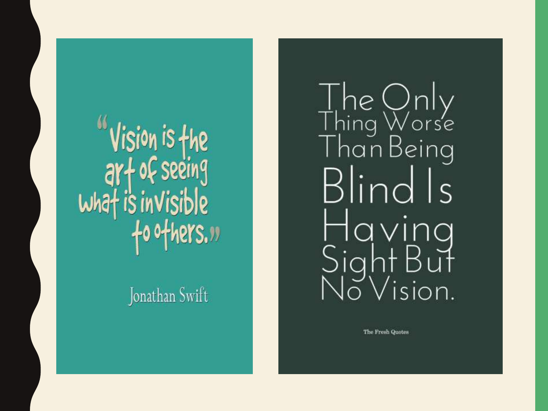Vision is the<br>art of seeing<br>what is invisible to others. "

Jonathan Swift

The Only<br>Thing Worse<br>Than Being Blind Is Havina Sight But<br>No Vision.

The Fresh Quotes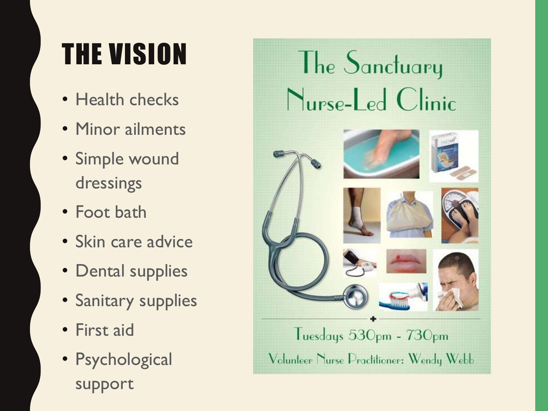## THE VISION

- Health checks
- Minor ailments
- Simple wound dressings
- Foot bath
- Skin care advice
- Dental supplies
- Sanitary supplies
- First aid
- Psychological support

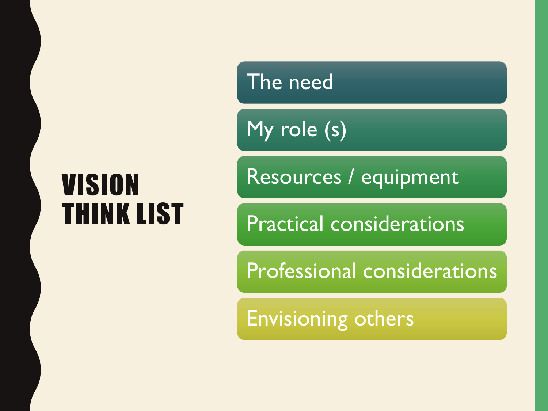### **VISION** THINK LIST

The need

My role (s)

Resources / equipment

Practical considerations

Professional considerations

Envisioning others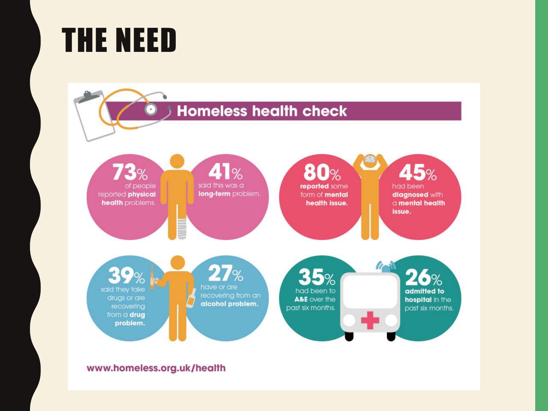# THE NEED



www.homeless.org.uk/health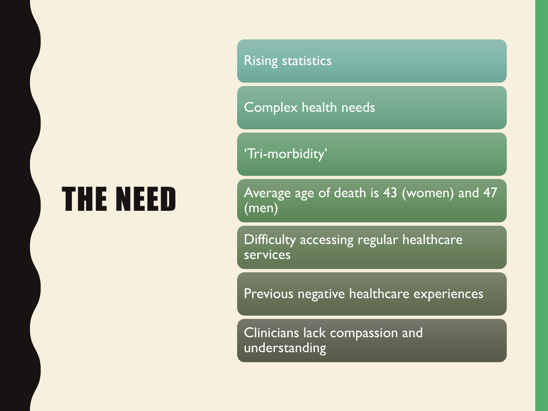## THE NEED

Rising statistics

Complex health needs

'Tri-morbidity'

Average age of death is 43 (women) and 47 (men)

Difficulty accessing regular healthcare services

Previous negative healthcare experiences

Clinicians lack compassion and understanding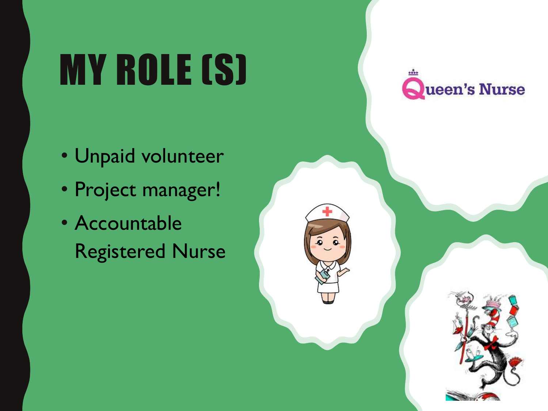# MY ROLE (S)

- Unpaid volunteer
- Project manager!
- Accountable Registered Nurse

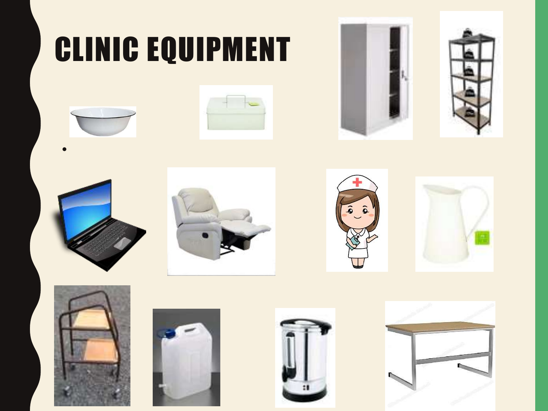# CLINIC EQUIPMENT









•













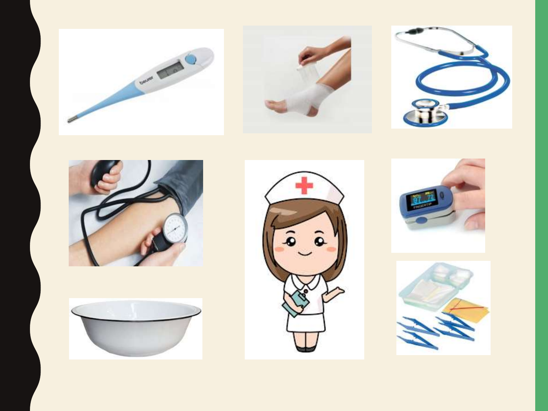













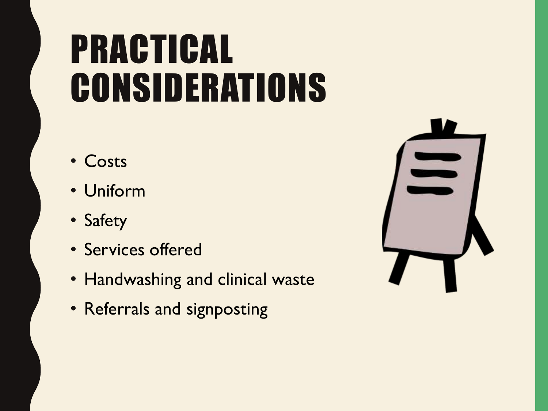# PRACTICAL **CONSIDERATIONS**

- Costs
- Uniform
- Safety
- Services offered
- Handwashing and clinical waste
- Referrals and signposting

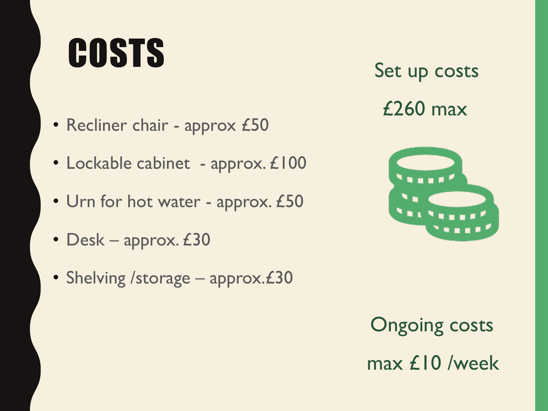# **COSTS**

- Recliner chair approx £50
- Lockable cabinet approx. £100
- Urn for hot water approx. £50
- Desk approx. £30
- Shelving / storage approx.£30

Set up costs £260 max



Ongoing costs max £10 /week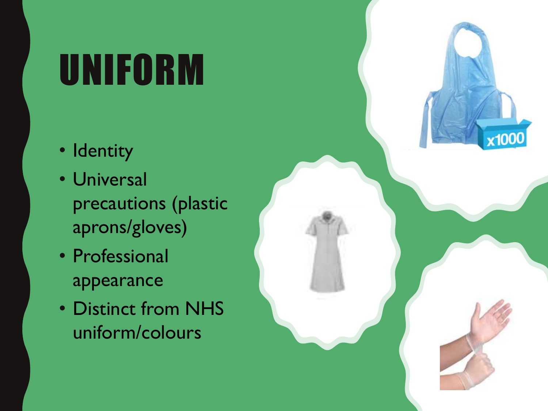# UNIFORM

- Identity
- Universal precautions (plastic aprons/gloves)
- Professional appearance
- Distinct from NHS uniform/colours

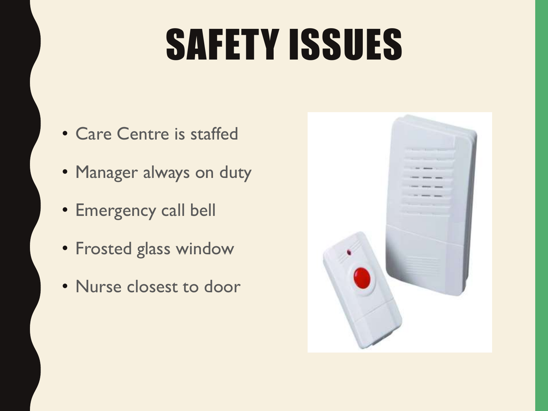# SAFETY ISSUES

- Care Centre is staffed
- Manager always on duty
- Emergency call bell
- Frosted glass window
- Nurse closest to door

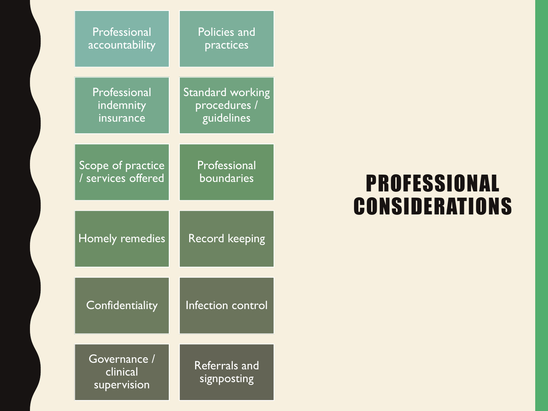| Professional                            | Policies and                 |
|-----------------------------------------|------------------------------|
| accountability                          | practices                    |
| Professional                            | <b>Standard working</b>      |
| indemnity                               | procedures /                 |
| insurance                               | guidelines                   |
| Scope of practice                       | Professional                 |
| / services offered                      | boundaries                   |
| <b>Homely remedies</b>                  | <b>Record keeping</b>        |
| Confidentiality                         | <b>Infection control</b>     |
| Governance /<br>clinical<br>supervision | Referrals and<br>signposting |

#### PROFESSIONAL **CONSIDERATIONS**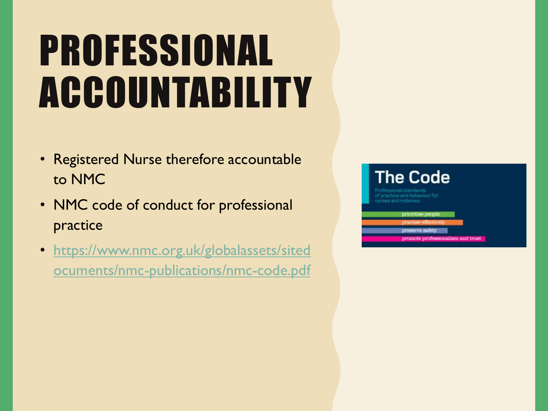# PROFESSIONAL ACCOUNTABILITY

- Registered Nurse therefore accountable to NMC
- NMC code of conduct for professional practice
- https://www.nmc.org.uk/globalassets/sited [ocuments/nmc-publications/nmc-code.pdf](https://www.nmc.org.uk/globalassets/sitedocuments/nmc-publications/nmc-code.pdf)

| <b>The Code</b>                                                                |                                   |
|--------------------------------------------------------------------------------|-----------------------------------|
| Professonal standards.<br>of practice and beheviour for<br>nunses and midwives |                                   |
|                                                                                | priorities people                 |
|                                                                                | practise effectively              |
|                                                                                | preserve safety                   |
|                                                                                | promote professionalism and trust |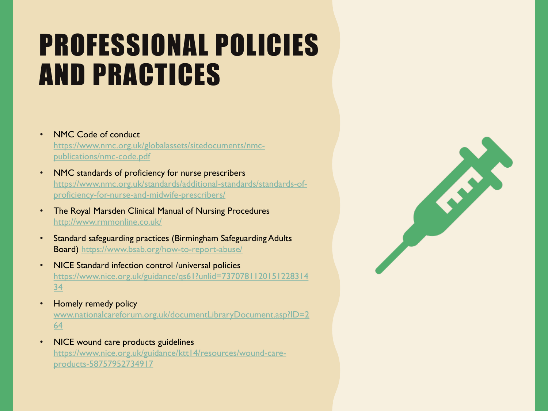### PROFESSIONAL POLICIES AND PRACTICES

- NMC Code of conduct [https://www.nmc.org.uk/globalassets/sitedocuments/nmc](https://www.nmc.org.uk/globalassets/sitedocuments/nmc-publications/nmc-code.pdf)publications/nmc-code.pdf
- NMC standards of proficiency for nurse prescribers [https://www.nmc.org.uk/standards/additional-standards/standards-of](https://www.nmc.org.uk/standards/additional-standards/standards-of-proficiency-for-nurse-and-midwife-prescribers/)proficiency-for-nurse-and-midwife-prescribers/
- The Royal Marsden Clinical Manual of Nursing Procedures <http://www.rmmonline.co.uk/>
- Standard safeguarding practices (Birmingham Safeguarding Adults Board) <https://www.bsab.org/how-to-report-abuse/>
- NICE Standard infection control /universal policies [https://www.nice.org.uk/guidance/qs61?unlid=7370781120151228314](https://www.nice.org.uk/guidance/qs61?unlid=737078112015122831434) 34
- Homely remedy policy [www.nationalcareforum.org.uk/documentLibraryDocument.asp?ID=2](http://www.nationalcareforum.org.uk/documentLibraryDocument.asp?ID=264) 64
- NICE wound care products guidelines [https://www.nice.org.uk/guidance/ktt14/resources/wound-care](https://www.nice.org.uk/guidance/ktt14/resources/wound-care-products-58757952734917)products-58757952734917

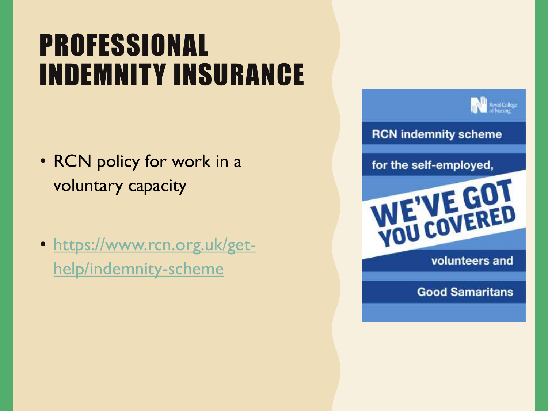## PROFESSIONAL INDEMNITY INSURANCE

- RCN policy for work in a voluntary capacity
- [https://www.rcn.org.uk/get](https://www.rcn.org.uk/get-help/indemnity-scheme)help/indemnity-scheme



#### **RCN indemnity scheme**

for the self-employed,



volunteers and

**Good Samaritans**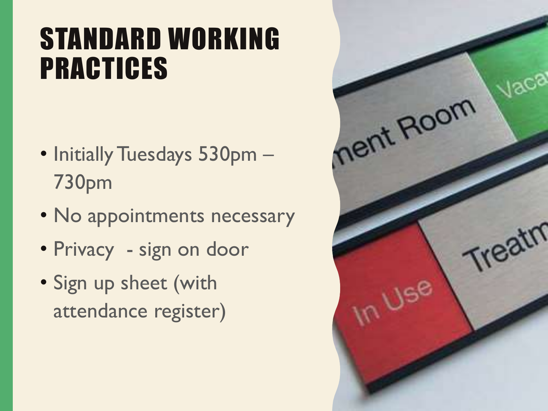## STANDARD WORKING PRACTICES

- Initially Tuesdays 530pm 730pm
- No appointments necessary
- Privacy sign on door
- Sign up sheet (with attendance register)

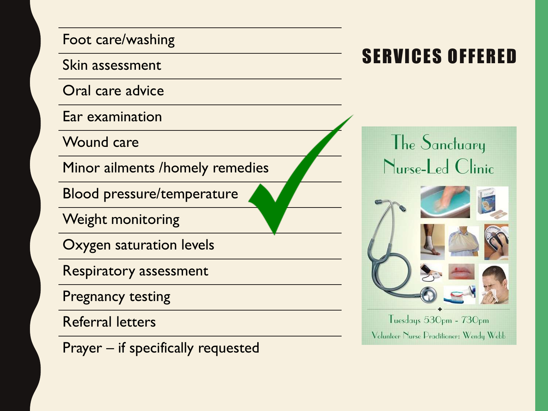Foot care/washing

Skin assessment

Oral care advice

Ear examination

Wound care

Minor ailments /homely remedies

Blood pressure/temperature

Weight monitoring

Oxygen saturation levels

Respiratory assessment

Pregnancy testing

Referral letters

Prayer – if specifically requested

#### SERVICES OFFERED

#### The Sanctuary Nurse-Led Clinic



Tuesdays 530pm - 730pm Volunteer Nurse Practitioner: Wendy Webb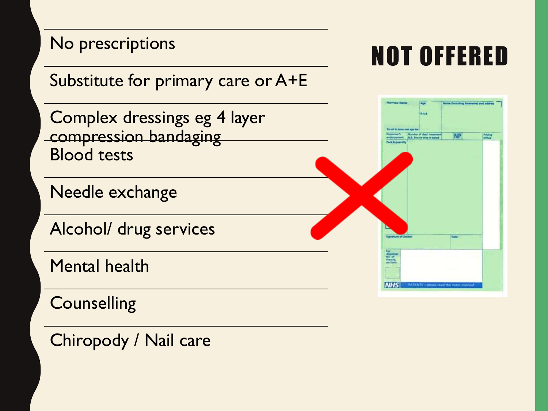No prescriptions and the set of the MOT OFFERED Substitute for primary care or A+E Complex dressings eg 4 layer e a a compression bandaging **NP** Blood tests Needle exchange Alcohol/ drug services Mental health **Counselling** 

Pricing

Chiropody / Nail care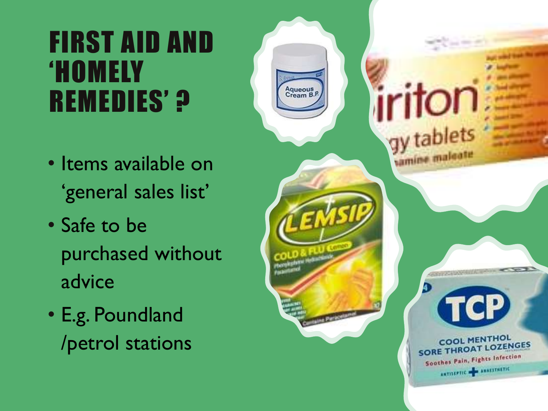## FIRST AID AND 'HOMELY REMEDIES' ?

- Items available on 'general sales list'
- Safe to be purchased without advice
- E.g. Poundland /petrol stations

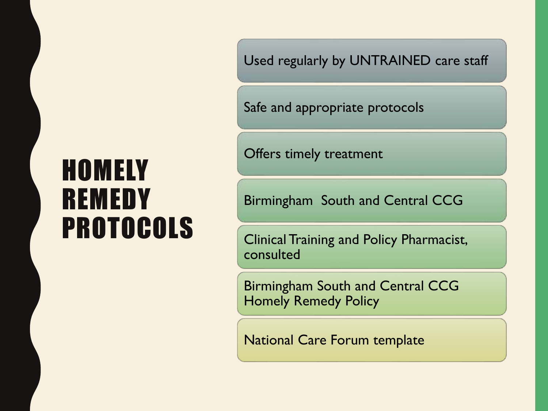### HOMELY REMEDY PROTOCOLS

Used regularly by UNTRAINED care staff

Safe and appropriate protocols

Offers timely treatment

Birmingham South and Central CCG

Clinical Training and Policy Pharmacist, consulted

Birmingham South and Central CCG Homely Remedy Policy

National Care Forum template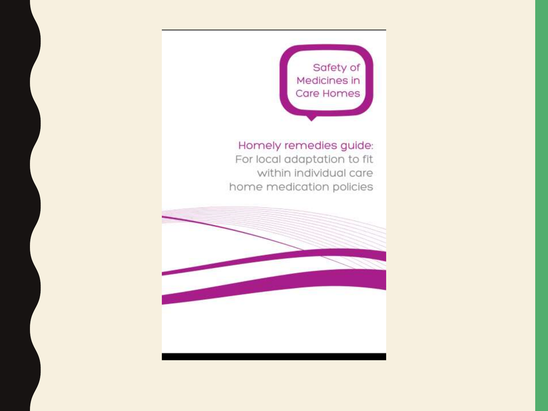

#### Homely remedies guide: For local adaptation to fit

within individual care home medication policies

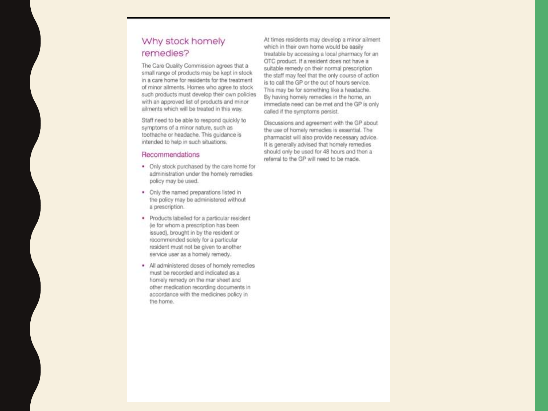#### Why stock homely remedies?

The Care Quality Commission agrees that a small range of products may be kept in stock in a care home for residents for the treatment of minor ailments. Homes who agree to stock such products must develop their own policies with an approved list of products and minor ailments which will be treated in this way.

Staff need to be able to respond quickly to symptoms of a minor nature, such as toothache or headache. This quidance is intended to help in such situations.

#### Recommendations

- . Only stock purchased by the care home for administration under the homely remedies policy may be used.
- Only the named preparations listed in the policy may be administered without a prescription.
- · Products labelled for a particular resident (ie for whom a prescription has been issued), brought in by the resident or recommended solely for a particular resident must not be given to another service user as a homely remedy.
- All administered doses of homely remedies must be recorded and indicated as a homely remedy on the mar sheet and other medication recording documents in accordance with the medicines policy in the home.

At times residents may develop a minor ailment which in their own home would be easily treatable by accessing a local pharmacy for an OTC product. If a resident does not have a suitable remedy on their normal prescription the staff may feel that the only course of action is to call the GP or the out of hours service. This may be for something like a headache. By having homely remedies in the home, an immediate need can be met and the GP is only called if the symptoms persist.

Discussions and agreement with the GP about the use of homely remedies is essential. The pharmacist will also provide necessary advice. It is generally advised that homely remedies should only be used for 48 hours and then a referral to the GP will need to be made.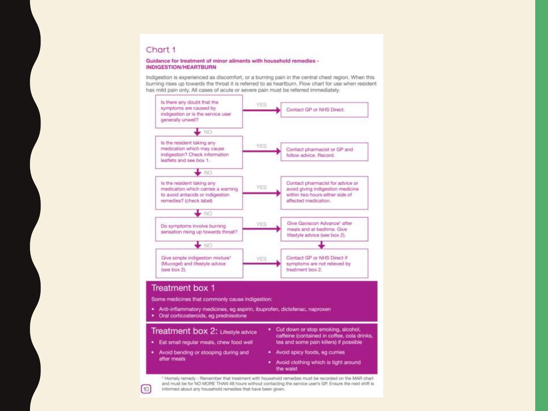#### Chart 1

#### Guidance for treatment of minor ailments with household remedies -INDIGESTION/HEARTBURN

Indigestion is experienced as discomfort, or a burning pain in the central chest region. When this burning rises up towards the throat it is referred to as heartburn. Flow chart for use when resident has mild pain only. All cases of acute or severe pain must be referred immediately.



#### Treatment box 1

Some medicines that commonly cause indigestion:

- · Anti-inflammatory medicines, eg aspirin, ibuprofen, diclofenac, naproxen
- · Oral corticosteroids, eg prednisolone

#### Treatment box 2: Lifestyle advice

- . Eat small regular meals, chew food well
- . Avoid bending or stooping during and after meals
- . Cut down or stop smoking, alcohol, caffeine (contained in coffee, cola drinks, tea and some pain killers) if possible
- · Avoid spicy foods, eg curries
- . Avoid clothing which is tight around the waist

\* Homely remedy - Remember that treatment with household remedies must be recorded on the MAR chart and must be for NO MORE THAN 48 hours without contacting the service user's GP. Ensure the next shift is informed about any household remedies that have been given.

 $10<sup>1</sup>$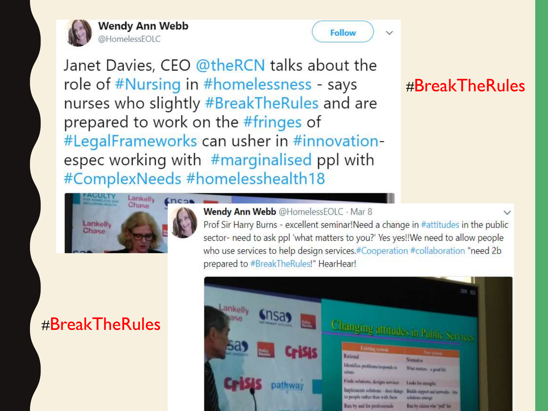

**Wendy Ann Webb** @HomelessEOLC



Janet Davies, CEO @theRCN talks about the role of #Nursing in #homelessness - says nurses who slightly #BreakTheRules and are prepared to work on the #fringes of #LegalFrameworks can usher in #innovationespec working with #marginalised ppl with #ComplexNeeds #homelesshealth18

#### #BreakTheRules





Wendy Ann Webb @HomelessEOLC · Mar 8

Prof Sir Harry Burns - excellent seminar!Need a change in #attitudes in the public sector- need to ask ppl 'what matters to you?' Yes yes!!We need to allow people who use services to help design services.#Cooperation #collaboration "need 2b prepared to #BreakTheRules!" HearHear!

#### #BreakTheRules

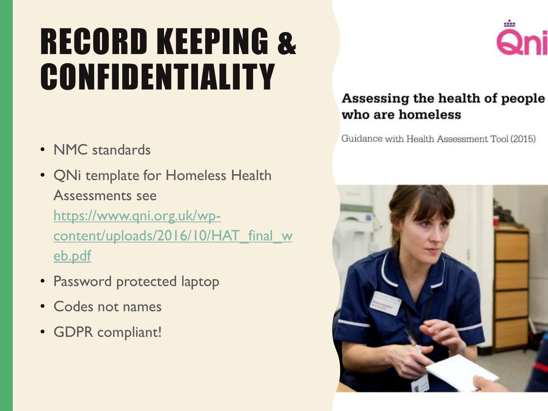# RECORD KEEPING & **CONFIDENTIALITY**

- NMC standards
- QNi template for Homeless Health Assessments see https://www.qni.org.uk/wp[content/uploads/2016/10/HAT\\_final\\_w](https://www.qni.org.uk/wp-content/uploads/2016/10/HAT_final_web.pdf) eb.pdf
- Password protected laptop
- Codes not names
- GDPR compliant!



#### Assessing the health of people who are homeless

Guidance with Health Assessment Tool (2015)

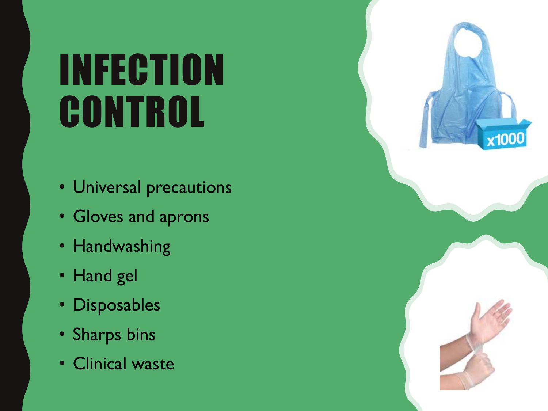# INFECTION **CONTROL**

- Universal precautions
- Gloves and aprons
- Handwashing
- Hand gel
- Disposables
- Sharps bins
- Clinical waste

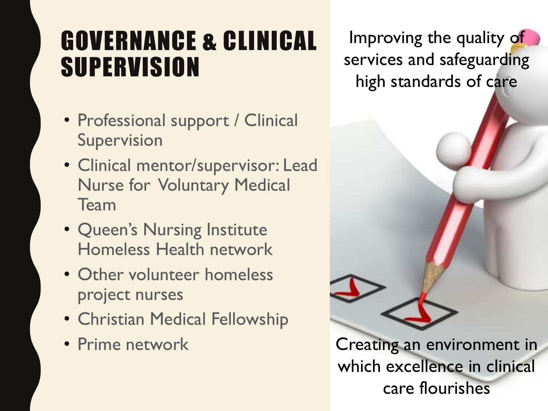### GOVERNANCE & CLINICAL **SUPERVISION**

- Professional support / Clinical Supervision
- Clinical mentor/supervisor: Lead Nurse for Voluntary Medical Team
- Queen's Nursing Institute Homeless Health network
- Other volunteer homeless project nurses
- Christian Medical Fellowship
- Prime network

Improving the quality of services and safeguarding high standards of care

Creating an environment in which excellence in clinical care flourishes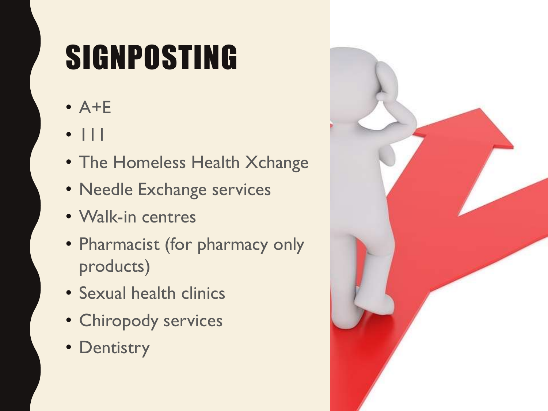# SIGNPOSTING

- A+E
- $\cdot$  |||
- The Homeless Health Xchange
- Needle Exchange services
- Walk-in centres
- Pharmacist (for pharmacy only products)
- Sexual health clinics
- Chiropody services
- Dentistry

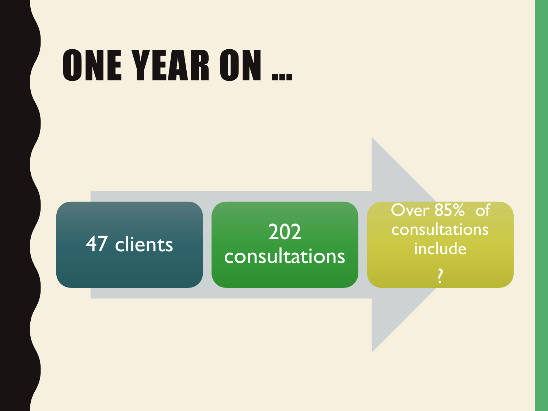# ONE YEAR ON …



### 47 clients <sup>202</sup> consultations

Over 85% of consultations include

?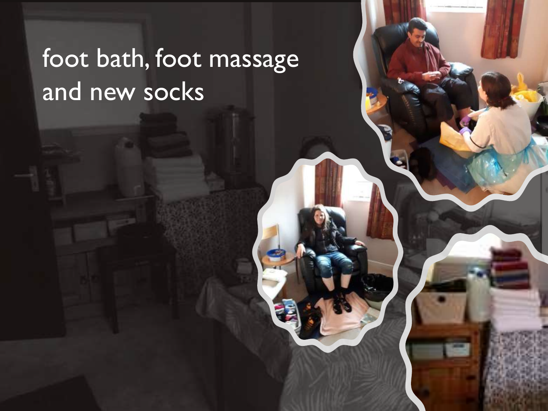### foot bath, foot massage and new socks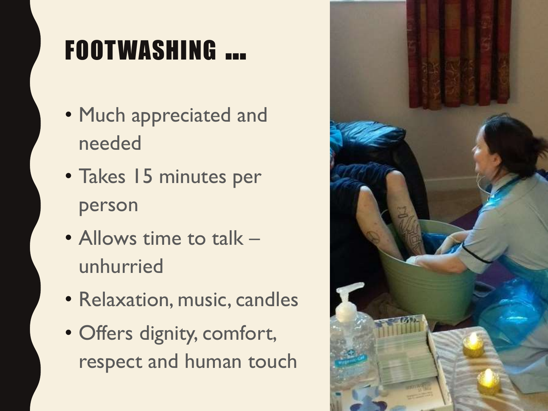### FOOTWASHING …

- Much appreciated and needed
- Takes 15 minutes per person
- Allows time to talk unhurried
- Relaxation, music, candles
- Offers dignity, comfort, respect and human touch

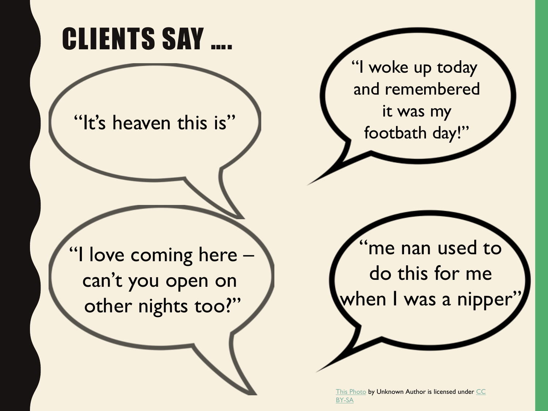

"It's heaven this is"

"I woke up today and remembered it was my footbath day!"

"I love coming here – can't you open on other nights too?"

'me nan used to do this for me when I was a nipper"

[This Photo](http://commons.wikimedia.org/wiki/file:speech_bubble.svg) [by Unknown Author is licensed under CC](https://creativecommons.org/licenses/by-sa/3.0/) BY-SA